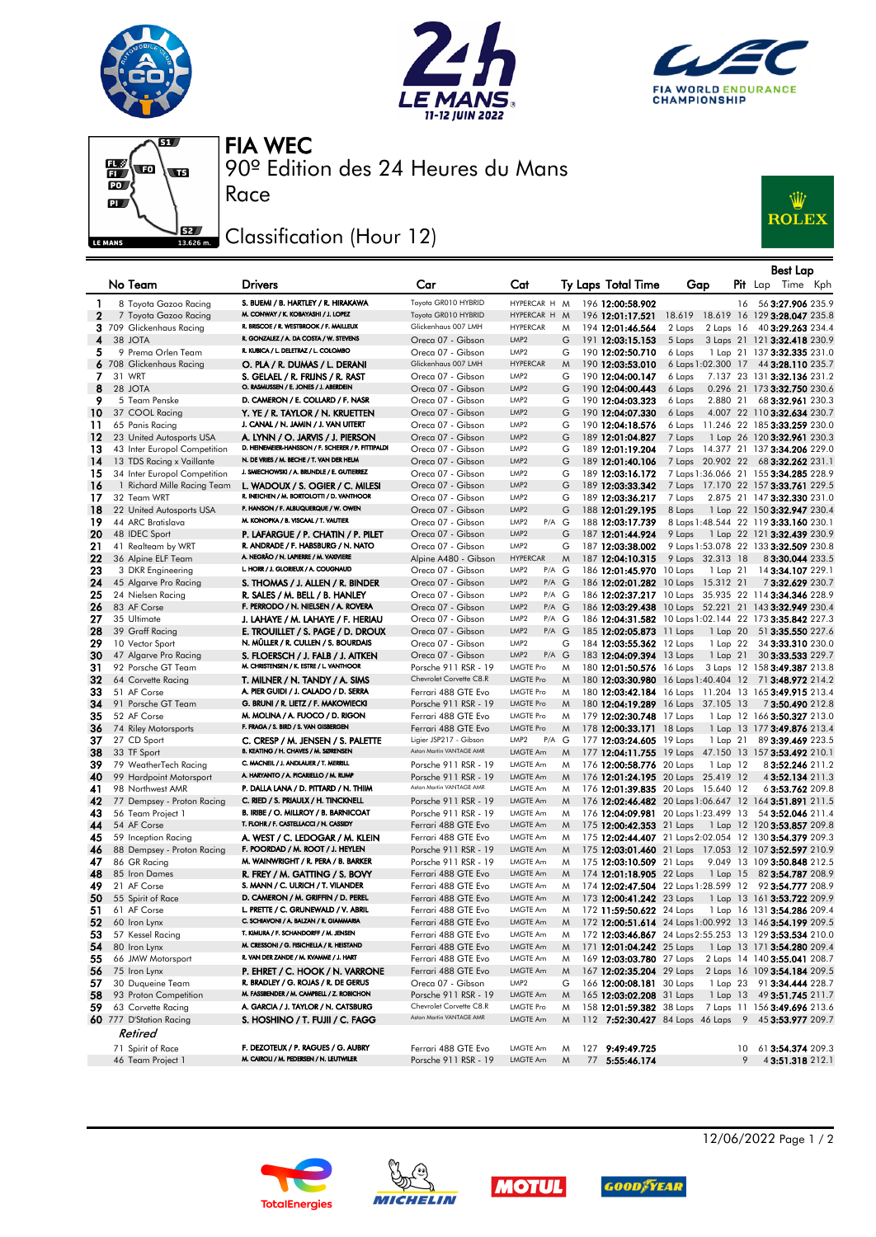







90º Edition des 24 Heures du Mans FIA WEC

## Classification (Hour 12)

Race



|          |                                                   |                                                                                  |                                             |                                      |        |                                                                |                  |               | <b>Best Lap</b>                                                                                                 |
|----------|---------------------------------------------------|----------------------------------------------------------------------------------|---------------------------------------------|--------------------------------------|--------|----------------------------------------------------------------|------------------|---------------|-----------------------------------------------------------------------------------------------------------------|
|          | No Team                                           | <b>Drivers</b>                                                                   | Car                                         | Cat                                  |        | Ty Laps Total Time                                             | Gap              |               | $P$ it Lap<br>Time Kph                                                                                          |
| 1        | 8 Toyota Gazoo Racing                             | S. BUEMI / B. HARTLEY / R. HIRAKAWA                                              | Toyota GR010 HYBRID                         | HYPERCAR H M                         |        | 196 12:00:58.902                                               |                  | 16            | 56 3:27.906 235.9                                                                                               |
| 2        | 7 Toyota Gazoo Racing                             | M. CONWAY / K. KOBAYASHI / J. LOPEZ                                              | Toyota GR010 HYBRID                         | HYPERCAR H                           | M      | 196 12:01:17.521                                               |                  |               | 18.619 18.619 16 129 3:28.047 235.8                                                                             |
|          | 3 709 Glickenhaus Racing                          | R. BRISCOE / R. WESTBROOK / F. MAILLEUX                                          | Glickenhaus 007 LMH                         | <b>HYPERCAR</b>                      | M      | 194 12:01:46.564                                               | 2 Laps           | $2$ Laps $16$ | 40 3:29.263 234.4                                                                                               |
| 4        | 38 JOTA                                           | R. GONZALEZ / A. DA COSTA / W. STEVENS                                           | Oreca 07 - Gibson                           | LMP <sub>2</sub>                     | G      | 191 12:03:15.153                                               | 5 Laps           |               | 3 Laps 21 121 3:32.418 230.9                                                                                    |
| 5.       | 9 Prema Orlen Team                                | R. KUBICA / L. DELETRAZ / L. COLOMBO                                             | Oreca 07 - Gibson<br>Glickenhaus 007 LMH    | LMP <sub>2</sub><br><b>HYPERCAR</b>  | G      | 190 12:02:50.710                                               | 6 Laps           |               | 1 Lap 21 137 3:32.335 231.0                                                                                     |
|          | 6 708 Glickenhaus Racing                          | O. PLA / R. DUMAS / L. DERANI                                                    |                                             |                                      | M      | 190 12:03:53.010                                               |                  |               | 6 Laps 1:02.300 17 44 3:28.110 235.7                                                                            |
| 7<br>8   | 31 WRT<br>28 JOTA                                 | S. GELAEL / R. FRIJNS / R. RAST<br>O. RASMUSSEN / E. JONES / J. ABERDEIN         | Oreca 07 - Gibson<br>Oreca 07 - Gibson      | LMP <sub>2</sub><br>LMP <sub>2</sub> | G<br>G | 190 12:04:00.147<br>190 12:04:00.443                           | 6 Laps<br>6 Laps |               | 7.137 23 131 3:32.136 231.2<br>0.296 21 173 3:32.750 230.6                                                      |
| 9        | 5 Team Penske                                     | D. CAMERON / E. COLLARD / F. NASR                                                | Oreca 07 - Gibson                           | LMP <sub>2</sub>                     | G      | 190 12:04:03.323                                               | 6 Laps           | 2.880 21      | 68 3:32.961 230.3                                                                                               |
| 10       | 37 COOL Racing                                    | Y. YE / R. TAYLOR / N. KRUETTEN                                                  | Oreca 07 - Gibson                           | LMP <sub>2</sub>                     | G      | 190 12:04:07.330                                               | 6 Laps           |               | 4.007 22 110 3:32.634 230.7                                                                                     |
| 11       | 65 Panis Racing                                   | J. CANAL / N. JAMIN / J. VAN UITERT                                              | Oreca 07 - Gibson                           | LMP <sub>2</sub>                     | G      | 190 12:04:18.576                                               |                  |               | 6 Laps 11.246 22 185 3:33.259 230.0                                                                             |
| 12       | 23 United Autosports USA                          | A. LYNN / O. JARVIS / J. PIERSON                                                 | Oreca 07 - Gibson                           | LMP <sub>2</sub>                     | G      | 189 12:01:04.827                                               | 7 Laps           |               | 1 Lap 26 120 3:32.961 230.3                                                                                     |
| 13       | 43 Inter Europol Competition                      | D. HEINEMEIER-HANSSON / F. SCHERER / P. FITTIPALDI                               | Oreca 07 - Gibson                           | LMP <sub>2</sub>                     | G      | 189 12:01:19.204                                               |                  |               | 7 Laps 14.377 21 137 3:34.206 229.0                                                                             |
| 14       | 13 TDS Racing x Vaillante                         | N. DE VRIES / M. BECHE / T. VAN DER HELM                                         | Oreca 07 - Gibson                           | LMP <sub>2</sub>                     | G      | 189 12:01:40.106                                               |                  |               | 7 Laps 20.902 22 68 3:32.262 231.1                                                                              |
| 15       | 34 Inter Europol Competition                      | J. SMIECHOWSKI / A. BRUNDLE / E. GUTIERREZ                                       | Oreca 07 - Gibson                           | LMP <sub>2</sub>                     | G      | 189 12:03:16.172                                               |                  |               | 7 Laps 1:36.066 21 155 3:34.285 228.9                                                                           |
| 16       | 1 Richard Mille Racing Team                       | L. WADOUX / S. OGIER / C. MILESI                                                 | Oreca 07 - Gibson                           | LMP <sub>2</sub>                     | G      | 189 12:03:33.342                                               |                  |               | 7 Laps 17.170 22 157 3:33.761 229.5                                                                             |
| 17       | 32 Team WRT                                       | R. INEICHEN / M. BORTOLOTTI / D. VANTHOOR                                        | Oreca 07 - Gibson                           | LMP <sub>2</sub>                     | G      | 189 12:03:36.217                                               | 7 Laps           |               | 2.875 21 147 3:32.330 231.0                                                                                     |
| 18       | 22 United Autosports USA                          | P. HANSON / F. ALBUQUERQUE / W. OWEN                                             | Oreca 07 - Gibson                           | LMP <sub>2</sub>                     | G      | 188 12:01:29.195                                               | 8 Laps           |               | 1 Lap 22 150 3:32.947 230.4                                                                                     |
| 19       | 44 ARC Bratislava                                 | M. KONOPKA / B. VISCAAL / T. VAUTIER                                             | Oreca 07 - Gibson                           | LMP <sub>2</sub><br>$P/A$ G          |        | 188 12:03:17.739                                               |                  |               | 8 Laps 1:48.544 22 119 3:33.160 230.1                                                                           |
| 20<br>21 | 48 IDEC Sport                                     | P. LAFARGUE / P. CHATIN / P. PILET<br>R. ANDRADE / F. HABSBURG / N. NATO         | Oreca 07 - Gibson                           | LMP <sub>2</sub><br>LMP <sub>2</sub> | G      | 187 12:01:44.924<br>187 12:03:38.002                           | 9 Laps           |               | 1 Lap 22 121 3:32.439 230.9                                                                                     |
| 22       | 41 Realteam by WRT<br>36 Alpine ELF Team          | A. NEGRÃO / N. LAPIERRE / M. VAXIVIERE                                           | Oreca 07 - Gibson<br>Alpine A480 - Gibson   | <b>HYPERCAR</b>                      | G<br>M | 187 12:04:10.315                                               | 9 Laps 32.313 18 |               | 9 Laps 1:53.078 22 133 3:32.509 230.8<br>83:30.044 233.5                                                        |
| 23       | 3 DKR Engineering                                 | L. HORR / J. GLORIEUX / A. COUGNAUD                                              | Oreca 07 - Gibson                           | P/A G<br>LMP <sub>2</sub>            |        | 186 12:01:45.970 10 Laps                                       |                  | 1 Lap 21      | 14 3:34.107 229.1                                                                                               |
| 24       | 45 Algarve Pro Racing                             | S. THOMAS / J. ALLEN / R. BINDER                                                 | Oreca 07 - Gibson                           | LMP <sub>2</sub><br>$P/A$ $G$        |        | 186 12:02:01.282 10 Laps 15.312 21                             |                  |               | 73:32.629 230.7                                                                                                 |
| 25       | 24 Nielsen Racing                                 | R. SALES / M. BELL / B. HANLEY                                                   | Oreca 07 - Gibson                           | LMP <sub>2</sub><br>$P/A$ G          |        |                                                                |                  |               | 186 12:02:37.217 10 Laps 35.935 22 114 3:34.346 228.9                                                           |
| 26       | 83 AF Corse                                       | F. PERRODO / N. NIELSEN / A. ROVERA                                              | Oreca 07 - Gibson                           | LMP <sub>2</sub><br>$P/A$ $G$        |        |                                                                |                  |               | 186 12:03:29.438 10 Laps 52.221 21 143 3:32.949 230.4                                                           |
| 27       | 35 Ultimate                                       | J. LAHAYE / M. LAHAYE / F. HERIAU                                                | Oreca 07 - Gibson                           | P/A G<br>LMP <sub>2</sub>            |        |                                                                |                  |               | 186 12:04:31.582 10 Laps 1:02.144 22 173 3:35.842 227.3                                                         |
| 28       | 39 Graff Racing                                   | E. TROUILLET / S. PAGE / D. DROUX                                                | Oreca 07 - Gibson                           | LMP <sub>2</sub><br>$P/A$ $G$        |        | 185 12:02:05.873 11 Laps                                       |                  | 1 Lap 20      | 51 3:35.550 227.6                                                                                               |
| 29       | 10 Vector Sport                                   | N. MÜLLER / R. CULLEN / S. BOURDAIS                                              | Oreca 07 - Gibson                           | LMP <sub>2</sub>                     | G      | 184 12:03:55.362 12 Laps                                       |                  | 1 Lap 22      | 34 3:33.310 230.0                                                                                               |
| 30       | 47 Algarve Pro Racing                             | S. FLOERSCH / J. FALB / J. AITKEN                                                | Oreca 07 - Gibson                           | LMP <sub>2</sub><br>$P/A$ $G$        |        | 183 12:04:09.394 13 Laps                                       |                  | 1 Lap 21      | 30 3:33.533 229.7                                                                                               |
| 31       | 92 Porsche GT Team                                | M. CHRISTENSEN / K. ESTRE / L. VANTHOOR                                          | Porsche 911 RSR - 19                        | LMGTE Pro                            | M      | 180 12:01:50.576 16 Laps                                       |                  |               | 3 Laps 12 158 3:49.387 213.8                                                                                    |
| 32       | 64 Corvette Racing                                | T. MILNER / N. TANDY / A. SIMS                                                   | Chevrolet Corvette C8.R                     | <b>LMGTE Pro</b>                     | M      | 180 12:03:30.980 16 Laps 1:40.404 12                           |                  |               | 71 3:48.972 214.2                                                                                               |
| 33       | 51 AF Corse                                       | A. PIER GUIDI / J. CALADO / D. SERRA<br>G. BRUNI / R. LIETZ / F. MAKOWIECKI      | Ferrari 488 GTE Evo                         | LMGTE Pro<br>LMGTE Pro               | M      |                                                                |                  |               | 180 12:03:42.184 16 Laps 11.204 13 165 3:49.915 213.4                                                           |
| 34<br>35 | 91 Porsche GT Team<br>52 AF Corse                 | M. MOLINA / A. FUOCO / D. RIGON                                                  | Porsche 911 RSR - 19<br>Ferrari 488 GTE Evo | LMGTE Pro                            | M<br>M | 180 12:04:19.289 16 Laps 37.105 13<br>179 12:02:30.748 17 Laps |                  |               | 73:50.490 212.8<br>1 Lap 12 166 3:50.327 213.0                                                                  |
| 36       | 74 Riley Motorsports                              | F. FRAGA / S. BIRD / S. VAN GISBERGEN                                            | Ferrari 488 GTE Evo                         | <b>LMGTE Pro</b>                     | M      | 178 12:00:33.171 18 Laps                                       |                  |               | 1 Lap 13 177 3:49.876 213.4                                                                                     |
| 37       | 27 CD Sport                                       | C. CRESP / M. JENSEN / S. PALETTE                                                | Ligier JSP217 - Gibson                      | LMP2<br>P/A                          | G      | 177 12:03:24.605 19 Laps                                       |                  | 1 Lap 21      | 89 3:39.469 223.5                                                                                               |
| 38       | 33 TF Sport                                       | B. KEATING / H. CHAVES / M. SØRENSEN                                             | Aston Martin VANTAGE AMR                    | LMGTE Am                             | M      |                                                                |                  |               | 177 12:04:11.755 19 Laps 47.150 13 157 3:53.492 210.1                                                           |
| 39       | 79 WeatherTech Racing                             | C. MACNEIL / J. ANDLAUER / T. MERRILL                                            | Porsche 911 RSR - 19                        | LMGTE Am                             | M      | 176 12:00:58.776 20 Laps                                       |                  | 1 Lap 12      | 83:52.246 211.2                                                                                                 |
| 40       | 99 Hardpoint Motorsport                           | A. HARYANTO / A. PICARIELLO / M. RUMP                                            | Porsche 911 RSR - 19                        | <b>LMGTE Am</b>                      | M      | 176 12:01:24.195 20 Laps 25.419 12                             |                  |               | 4 3:52.134 211.3                                                                                                |
| 41       | 98 Northwest AMR                                  | P. DALLA LANA / D. PITTARD / N. THIIM                                            | Aston Martin VANTAGE AMR                    | LMGTE Am                             | M      | 176 12:01:39.835 20 Laps 15.640 12                             |                  |               | 63:53.762 209.8                                                                                                 |
| 42       | 77 Dempsey - Proton Racing                        | C. RIED / S. PRIAULX / H. TINCKNELL                                              | Porsche 911 RSR - 19                        | LMGTE Am                             | M      |                                                                |                  |               | 176 12:02:46.482 20 Laps 1:06.647 12 164 3:51.891 211.5                                                         |
| 43       | 56 Team Project 1                                 | B. IRIBE / O. MILLROY / B. BARNICOAT<br>T. FLOHR / F. CASTELLACCI / N. CASSIDY   | Porsche 911 RSR - 19                        | <b>LMGTE Am</b>                      | M      | 176 12:04:09.981 20 Laps 1:23.499 13                           |                  |               | 54 3:52.046 211.4                                                                                               |
| 44       | 54 AF Corse                                       |                                                                                  | Ferrari 488 GTE Evo<br>Ferrari 488 GTE Evo  | LMGTE Am<br><b>LMGTE Am</b>          | M      | 175 12:00:42.353 21 Laps                                       |                  |               | 1 Lap 12 120 <b>3:53.857</b> 209.8                                                                              |
| 45<br>46 | 59 Inception Racing<br>88 Dempsey - Proton Racing | A. WEST / C. LEDOGAR / M. KLEIN<br>F. POORDAD / M. ROOT / J. HEYLEN              | Porsche 911 RSR - 19                        | LMGTE Am                             | M<br>M |                                                                |                  |               | 175 12:02:44.407 21 Laps2:02.054 12 130 3:54.379 209.3<br>175 12:03:01.460 21 Laps 17.053 12 107 3:52.597 210.9 |
| 47       | 86 GR Racing                                      | M. WAINWRIGHT / R. PERA / B. BARKER                                              | Porsche 911 RSR - 19                        | LMGTE Am                             | M      | 175 12:03:10.509 21 Laps                                       |                  |               | 9.049 13 109 3:50.848 212.5                                                                                     |
| 48       | 85 Iron Dames                                     | R. FREY / M. GATTING / S. BOVY                                                   | Ferrari 488 GTE Evo                         | LMGTE Am                             | M      | 174 12:01:18.905 22 Laps                                       |                  | 1 Lap 15      | 82 3:54.787 208.9                                                                                               |
| 49       | 21 AF Corse                                       | S. MANN / C. ULRICH / T. VILANDER                                                | Ferrari 488 GTE Evo                         | LMGTE Am                             | M      |                                                                |                  |               | 174 12:02:47.504 22 Laps 1:28.599 12 92 3:54.777 208.9                                                          |
| 50       | 55 Spirit of Race                                 | D. CAMERON / M. GRIFFIN / D. PEREL                                               | Ferrari 488 GTE Evo                         | LMGTE Am                             | M      | 173 12:00:41.242 23 Laps                                       |                  |               | 1 Lap 13 161 <b>3:53.722</b> 209.9                                                                              |
| 51       | 61 AF Corse                                       | L. PRETTE / C. GRUNEWALD / V. ABRIL                                              | Ferrari 488 GTE Evo                         | <b>LMGTE Am</b>                      | M      | 172 11:59:50.622 24 Laps                                       |                  |               | 1 Lap 16 131 <b>3:54.286</b> 209.4                                                                              |
| 52       | 60 Iron Lynx                                      | C. SCHIAVONI / A. BALZAN / R. GIAMMARIA                                          | Ferrari 488 GTE Evo                         | LMGTE Am                             | M      |                                                                |                  |               |                                                                                                                 |
| 53       | 57 Kessel Racing                                  | T. KIMURA / F. SCHANDORFF / M. JENSEN                                            | Ferrari 488 GTE Evo                         | LMGTE Am                             | M      |                                                                |                  |               | 172 12:03:46.867 24 Laps2:55.253 13 129 3:53.534 210.0                                                          |
| 54       | 80 Iron Lynx                                      | M. CRESSONI / G. FISICHELLA / R. HEISTAND                                        | Ferrari 488 GTE Evo                         | LMGTE Am                             | M      |                                                                |                  |               | 171 12:01:04.242 25 Laps 1 Lap 13 171 3:54.280 209.4                                                            |
| 55       | 66 JMW Motorsport                                 | R. VAN DER ZANDE / M. KVAMME / J. HART                                           | Ferrari 488 GTE Evo                         | LMGTE Am                             | M      | 169 12:03:03.780 27 Laps                                       |                  |               | 2 Laps 14 140 3:55.041 208.7                                                                                    |
| 56       | 75 Iron Lynx                                      | P. EHRET / C. HOOK / N. VARRONE                                                  | Ferrari 488 GTE Evo                         | LMGTE Am                             | M      | 167 12:02:35.204 29 Laps                                       |                  |               | 2 Laps 16 109 3:54.184 209.5                                                                                    |
| 57<br>58 | 30 Duqueine Team<br>93 Proton Competition         | R. BRADLEY / G. ROJAS / R. DE GERUS<br>M. FASSBENDER / M. CAMPBELL / Z. ROBICHON | Oreca 07 - Gibson<br>Porsche 911 RSR - 19   | LMP2<br>LMGTE Am                     | G<br>M | 166 12:00:08.181 30 Laps<br>165 12:03:02.208 31 Laps           |                  |               | 1 Lap 23 91 3:34.444 228.7<br>1 Lap 13 49 3:51.745 211.7                                                        |
| 59.      | 63 Corvette Racing                                | A. GARCIA / J. TAYLOR / N. CATSBURG                                              | Chevrolet Corvette C8.R                     | <b>LMGTE Pro</b>                     | M      |                                                                |                  |               | 158 12:01:59.382 38 Laps 7 Laps 11 156 3:49.696 213.6                                                           |
|          | 60 777 D'Station Racing                           | S. HOSHINO / T. FUJII / C. FAGG                                                  | Aston Martin VANTAGE AMR                    | LMGTE Am                             | M      |                                                                |                  |               | 112 7:52:30.427 84 Laps 46 Laps 9 45 3:53.977 209.7                                                             |
|          | Retired                                           |                                                                                  |                                             |                                      |        |                                                                |                  |               |                                                                                                                 |
|          | 71 Spirit of Race                                 | F. DEZOTEUX / P. RAGUES / G. AUBRY                                               | Ferrari 488 GTE Evo                         | LMGTE Am                             |        | 127 9:49:49.725                                                |                  |               | 10 61 3:54.374 209.3                                                                                            |
|          | 46 Team Project 1                                 | M. CAIROLI / M. PEDERSEN / N. LEUTWILER                                          | Porsche 911 RSR - 19                        | LMGTE Am                             | M<br>M | 77 5:55:46.174                                                 |                  | 9             | 43:51.318 212.1                                                                                                 |
|          |                                                   |                                                                                  |                                             |                                      |        |                                                                |                  |               |                                                                                                                 |